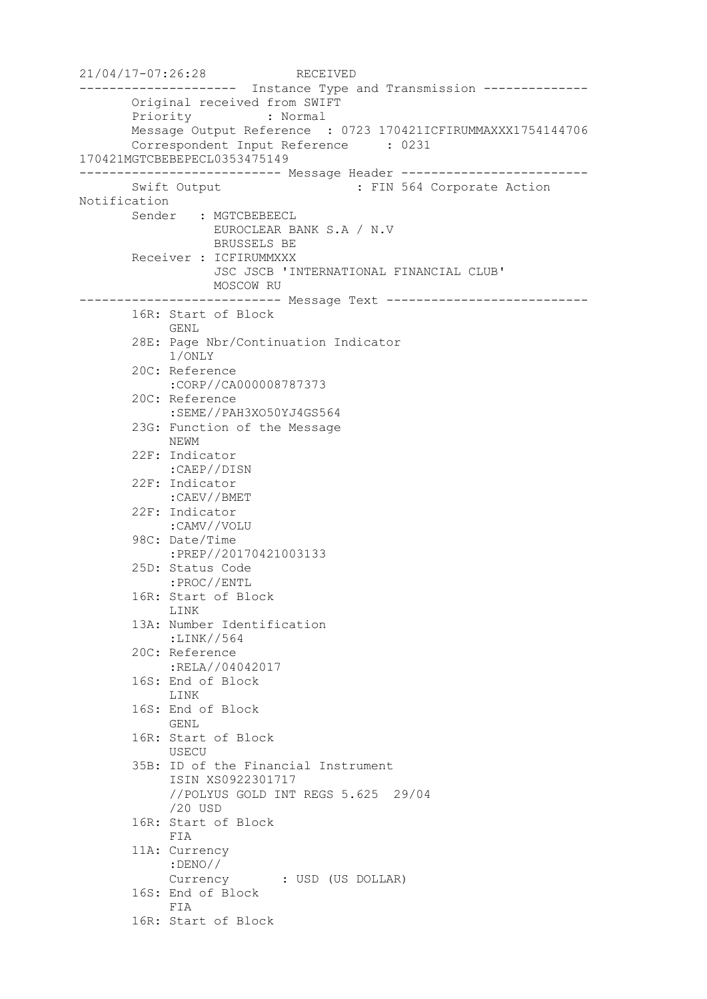21/04/17-07:26:28 RECEIVED --------------------- Instance Type and Transmission -------------- Original received from SWIFT Priority : Normal Message Output Reference : 0723 170421ICFIRUMMAXXX1754144706 Correspondent Input Reference : 0231 170421MGTCBEBEPECL0353475149 --------------------------- Message Header ------------------------- Swift Output : FIN 564 Corporate Action Notification Sender : MGTCBEBEECL EUROCLEAR BANK S.A / N.V BRUSSELS BE Receiver : ICFIRUMMXXX JSC JSCB 'INTERNATIONAL FINANCIAL CLUB' MOSCOW RU --------------------------- Message Text --------------------------- 16R: Start of Block GENL 28E: Page Nbr/Continuation Indicator 1/ONLY 20C: Reference :CORP//CA000008787373 20C: Reference :SEME//PAH3XO50YJ4GS564 23G: Function of the Message NEWM 22F: Indicator :CAEP//DISN 22F: Indicator :CAEV//BMET 22F: Indicator :CAMV//VOLU 98C: Date/Time :PREP//20170421003133 25D: Status Code :PROC//ENTL 16R: Start of Block LINK 13A: Number Identification :LINK//564 20C: Reference :RELA//04042017 16S: End of Block LINK 16S: End of Block GENL 16R: Start of Block USECU 35B: ID of the Financial Instrument ISIN XS0922301717 //POLYUS GOLD INT REGS 5.625 29/04 /20 USD 16R: Start of Block FIA 11A: Currency :DENO// Currency : USD (US DOLLAR) 16S: End of Block FIA 16R: Start of Block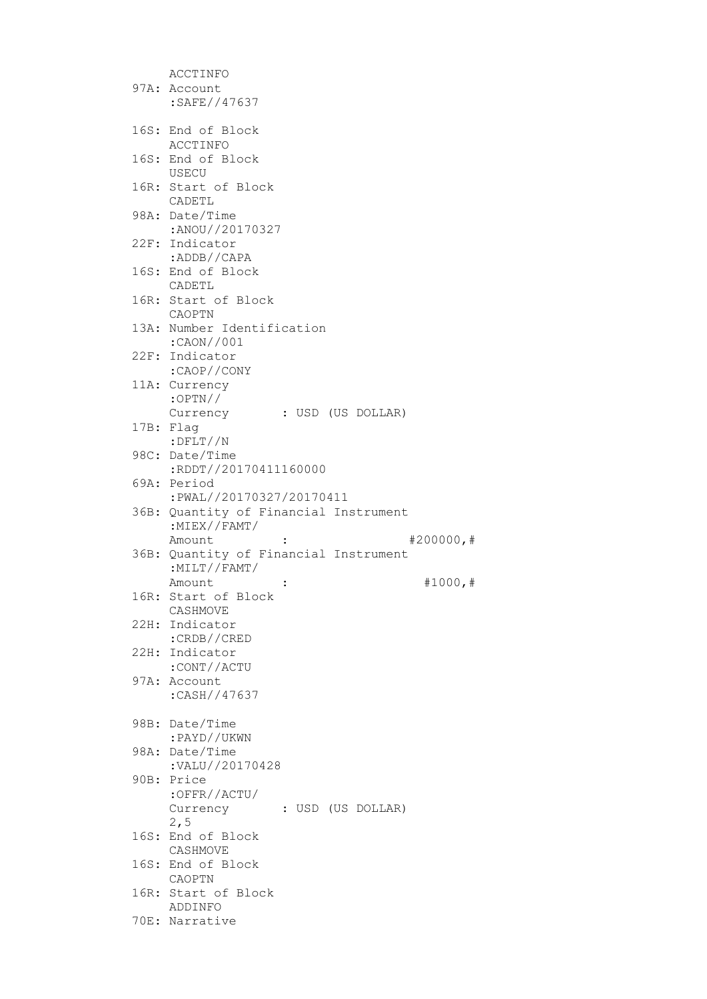| ACCTINFO                                                      |
|---------------------------------------------------------------|
| 97A: Account                                                  |
| :SAFE//47637                                                  |
|                                                               |
| 16S: End of Block                                             |
| ACCTINFO                                                      |
| 16S: End of Block                                             |
| USECU                                                         |
| 16R: Start of Block                                           |
| CADETL                                                        |
| 98A: Date/Time                                                |
| :ANOU//20170327                                               |
| 22F: Indicator                                                |
| :ADDB//CAPA                                                   |
| 16S: End of Block                                             |
| CADETL<br>16R: Start of Block                                 |
| CAOPTN                                                        |
| 13A: Number Identification                                    |
| :CAON//001                                                    |
| 22F: Indicator                                                |
| :CAOP//CONY                                                   |
| 11A: Currency                                                 |
| $:$ OPTN//                                                    |
| Currency : USD (US DOLLAR)                                    |
| 17B: Flag                                                     |
| $:$ $DFLT//N$                                                 |
| 98C: Date/Time                                                |
| :RDDT//20170411160000                                         |
| 69A: Period                                                   |
| :PWAL//20170327/20170411                                      |
| 36B: Quantity of Financial Instrument                         |
| :MIEX//FAMT/                                                  |
| #200000, #<br>Amount<br>36B: Quantity of Financial Instrument |
| $:$ MILT//FAMT/                                               |
| Amount<br>#1000, #                                            |
| 16R: Start of Block                                           |
| CASHMOVE                                                      |
| 22H: Indicator                                                |
| :CRDB//CRED                                                   |
| 22H: Indicator                                                |
| :CONT//ACTU                                                   |
| 97A: Account                                                  |
| :CASH//47637                                                  |
|                                                               |
| 98B: Date/Time                                                |
| :PAYD//UKWN<br>98A: Date/Time                                 |
| :VALU//20170428                                               |
| 90B: Price                                                    |
| :OFFR//ACTU/                                                  |
| : USD (US DOLLAR)<br>Currency                                 |
| 2, 5                                                          |
| 16S: End of Block                                             |
| CASHMOVE                                                      |
| 16S: End of Block                                             |
|                                                               |
| CAOPTN                                                        |
| 16R: Start of Block                                           |
| ADDINFO<br>70E: Narrative                                     |